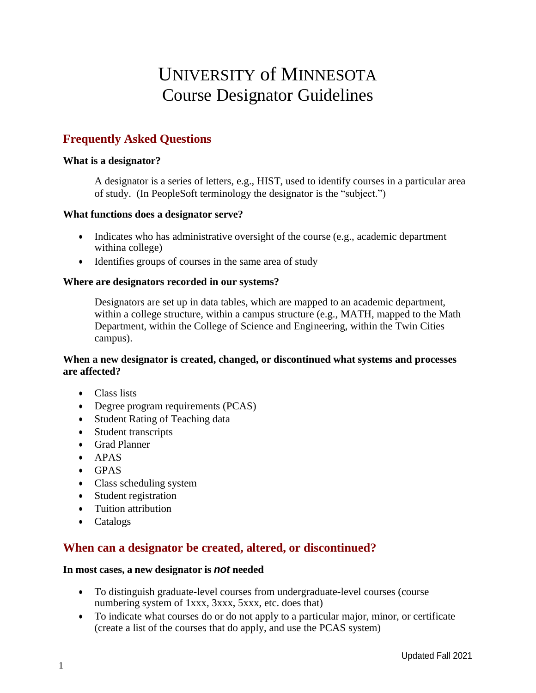# UNIVERSITY of MINNESOTA Course Designator Guidelines

# **Frequently Asked Questions**

#### **What is a designator?**

A designator is a series of letters, e.g., HIST, used to identify courses in a particular area of study. (In PeopleSoft terminology the designator is the "subject.")

#### **What functions does a designator serve?**

- Indicates who has administrative oversight of the course (e.g., academic department withina college)
- Identifies groups of courses in the same area of study

#### **Where are designators recorded in our systems?**

Designators are set up in data tables, which are mapped to an academic department, within a college structure, within a campus structure (e.g., MATH, mapped to the Math Department, within the College of Science and Engineering, within the Twin Cities campus).

#### **When a new designator is created, changed, or discontinued what systems and processes are affected?**

- Class lists
- Degree program requirements (PCAS)
- Student Rating of Teaching data
- Student transcripts
- Grad Planner
- APAS
- GPAS
- Class scheduling system
- Student registration
- Tuition attribution
- Catalogs

## **When can a designator be created, altered, or discontinued?**

#### **In most cases, a new designator is** *not* **needed**

- To distinguish graduate-level courses from undergraduate-level courses (course numbering system of 1xxx, 3xxx, 5xxx, etc. does that)
- To indicate what courses do or do not apply to a particular major, minor, or certificate (create a list of the courses that do apply, and use the PCAS system)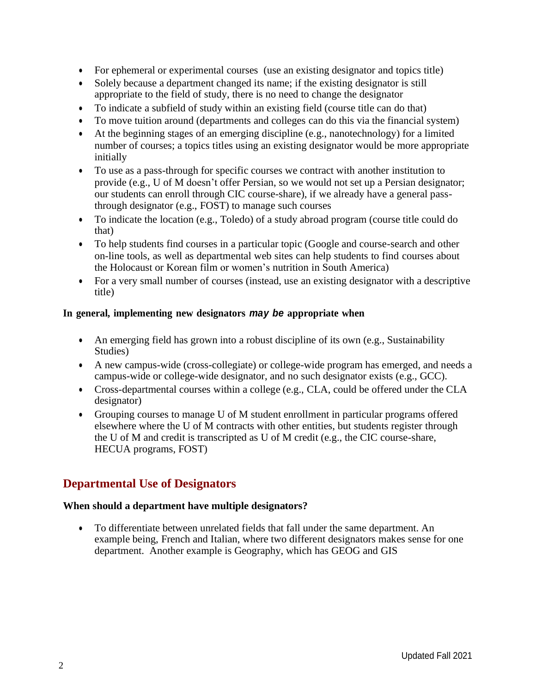- For ephemeral or experimental courses (use an existing designator and topics title)
- Solely because a department changed its name; if the existing designator is still appropriate to the field of study, there is no need to change the designator
- To indicate a subfield of study within an existing field (course title can do that)
- To move tuition around (departments and colleges can do this via the financial system)
- At the beginning stages of an emerging discipline (e.g., nanotechnology) for a limited number of courses; a topics titles using an existing designator would be more appropriate initially
- To use as a pass-through for specific courses we contract with another institution to provide (e.g., U of M doesn't offer Persian, so we would not set up a Persian designator; our students can enroll through CIC course-share), if we already have a general passthrough designator (e.g., FOST) to manage such courses
- To indicate the location (e.g., Toledo) of a study abroad program (course title could do that)
- To help students find courses in a particular topic (Google and course-search and other on-line tools, as well as departmental web sites can help students to find courses about the Holocaust or Korean film or women's nutrition in South America)
- For a very small number of courses (instead, use an existing designator with a descriptive title)

#### **In general, implementing new designators** *may be* **appropriate when**

- An emerging field has grown into a robust discipline of its own (e.g., Sustainability Studies)
- A new campus-wide (cross-collegiate) or college-wide program has emerged, and needs a campus-wide or college-wide designator, and no such designator exists (e.g., GCC).
- Cross-departmental courses within a college (e.g., CLA, could be offered under the CLA designator)
- Grouping courses to manage U of M student enrollment in particular programs offered elsewhere where the U of M contracts with other entities, but students register through the U of M and credit is transcripted as U of M credit (e.g., the CIC course-share, HECUA programs, FOST)

## **Departmental Use of Designators**

#### **When should a department have multiple designators?**

• To differentiate between unrelated fields that fall under the same department. An example being, French and Italian, where two different designators makes sense for one department. Another example is Geography, which has GEOG and GIS